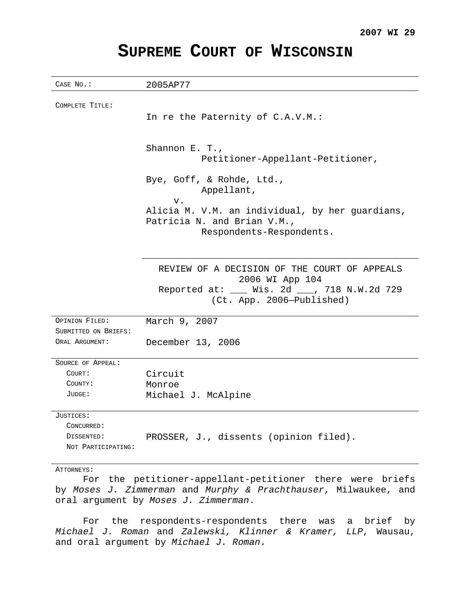## **SUPREME COURT OF WISCONSIN**

| CASE No.:            | 2005AP77                                                                  |
|----------------------|---------------------------------------------------------------------------|
|                      |                                                                           |
| COMPLETE TITLE:      | In re the Paternity of C.A.V.M.:                                          |
|                      |                                                                           |
|                      |                                                                           |
|                      | Shannon E. T.,                                                            |
|                      | Petitioner-Appellant-Petitioner,                                          |
|                      | Bye, Goff, & Rohde, Ltd.,                                                 |
|                      | Appellant,                                                                |
|                      | v.                                                                        |
|                      | Alicia M. V.M. an individual, by her guardians,                           |
|                      | Patricia N. and Brian V.M.,                                               |
|                      | Respondents-Respondents.                                                  |
|                      |                                                                           |
|                      | REVIEW OF A DECISION OF THE COURT OF APPEALS                              |
|                      | 2006 WI App 104                                                           |
|                      | Reported at: ___ Wis. 2d ___, 718 N.W.2d 729<br>(Ct. App. 2006-Published) |
| OPINION FILED:       | March 9, 2007                                                             |
| SUBMITTED ON BRIEFS: |                                                                           |
| ORAL ARGUMENT:       | December 13, 2006                                                         |
| SOURCE OF APPEAL:    |                                                                           |
| COURT:               | Circuit                                                                   |
| COUNTY:              | Monroe                                                                    |
| JUDGE:               | Michael J. McAlpine                                                       |
| JUSTICES:            |                                                                           |
| CONCURRED:           |                                                                           |
| DISSENTED:           | PROSSER, J., dissents (opinion filed).                                    |
| NOT PARTICIPATING:   |                                                                           |
| ATTORNEYS:           |                                                                           |
|                      | For the petitioner-appellant-petitioner there were briefs                 |
|                      | by Moses J. Zimmerman and Murphy & Prachthauser, Milwaukee, and           |

oral argument by Moses J. Zimmerman.

For the respondents-respondents there was a brief by Michael J. Roman and Zalewski, Klinner & Kramer, LLP, Wausau, and oral argument by Michael J. Roman.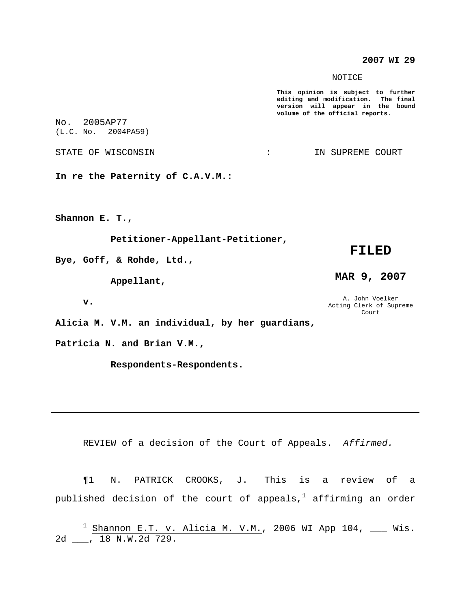### **2007 WI 29**

NOTICE

**This opinion is subject to further editing and modification. The final version will appear in the bound volume of the official reports.**

No. 2005AP77

STATE OF WISCONSIN THE RESERVE STATE OF WISCONSIN STATE OF THE SUPREME COURT

**In re the Paternity of C.A.V.M.:**

**Shannon E. T.,**

**Petitioner-Appellant-Petitioner,**

**Bye, Goff, & Rohde, Ltd.,**

**Appellant,**

**v.**

**Alicia M. V.M. an individual, by her guardians,**

**Patricia N. and Brian V.M.,**

**Respondents-Respondents.**

REVIEW of a decision of the Court of Appeals. Affirmed.

¶1 N. PATRICK CROOKS, J. This is a review of a published decision of the court of appeals, $^{\rm l}$  affirming an order

# (L.C. No. 2004PA59)

**MAR 9, 2007**

**FILED**

A. John Voelker Acting Clerk of Supreme Court

<sup>&</sup>lt;sup>1</sup> Shannon E.T.  $v.$  Alicia M. V.M., 2006 WI App 104, \_\_\_ Wis. 2d \_\_\_, 18 N.W.2d 729.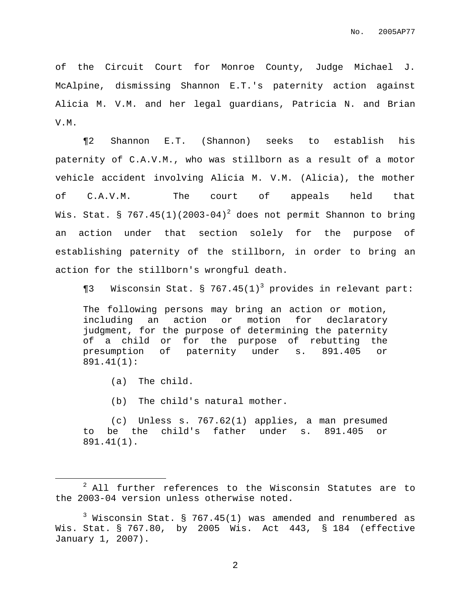of the Circuit Court for Monroe County, Judge Michael J. McAlpine, dismissing Shannon E.T.'s paternity action against Alicia M. V.M. and her legal guardians, Patricia N. and Brian V.M.

¶2 Shannon E.T. (Shannon) seeks to establish his paternity of C.A.V.M., who was stillborn as a result of a motor vehicle accident involving Alicia M. V.M. (Alicia), the mother of C.A.V.M. The court of appeals held that Wis. Stat. § 767.45(1)(2003-04) $^2$  does not permit Shannon to bring an action under that section solely for the purpose of establishing paternity of the stillborn, in order to bring an action for the stillborn's wrongful death.

 $\P$ 3 Wisconsin Stat. § 767.45(1)<sup>3</sup> provides in relevant part:

The following persons may bring an action or motion, including an action or motion for declaratory judgment, for the purpose of determining the paternity of a child or for the purpose of rebutting the presumption of paternity under s. 891.405 or 891.41(1):

(a) The child.

(b) The child's natural mother.

(c) Unless s. 767.62(1) applies, a man presumed to be the child's father under s. 891.405 or 891.41(1).

<sup>2</sup> All further references to the Wisconsin Statutes are to the 2003-04 version unless otherwise noted.

 $3$  Wisconsin Stat. § 767.45(1) was amended and renumbered as Wis. Stat. § 767.80, by 2005 Wis. Act 443, § 184 (effective January 1, 2007).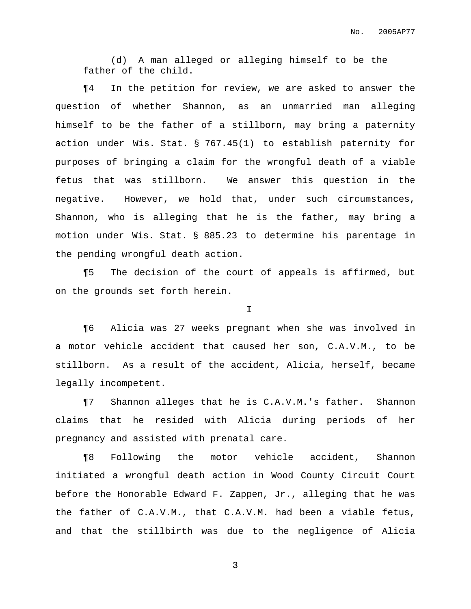No. 2005AP77

(d) A man alleged or alleging himself to be the father of the child.

¶4 In the petition for review, we are asked to answer the question of whether Shannon, as an unmarried man alleging himself to be the father of a stillborn, may bring a paternity action under Wis. Stat. § 767.45(1) to establish paternity for purposes of bringing a claim for the wrongful death of a viable fetus that was stillborn. We answer this question in the negative. However, we hold that, under such circumstances, Shannon, who is alleging that he is the father, may bring a motion under Wis. Stat. § 885.23 to determine his parentage in the pending wrongful death action.

¶5 The decision of the court of appeals is affirmed, but on the grounds set forth herein.

I

¶6 Alicia was 27 weeks pregnant when she was involved in a motor vehicle accident that caused her son, C.A.V.M., to be stillborn. As a result of the accident, Alicia, herself, became legally incompetent.

¶7 Shannon alleges that he is C.A.V.M.'s father. Shannon claims that he resided with Alicia during periods of her pregnancy and assisted with prenatal care.

¶8 Following the motor vehicle accident, Shannon initiated a wrongful death action in Wood County Circuit Court before the Honorable Edward F. Zappen, Jr., alleging that he was the father of C.A.V.M., that C.A.V.M. had been a viable fetus, and that the stillbirth was due to the negligence of Alicia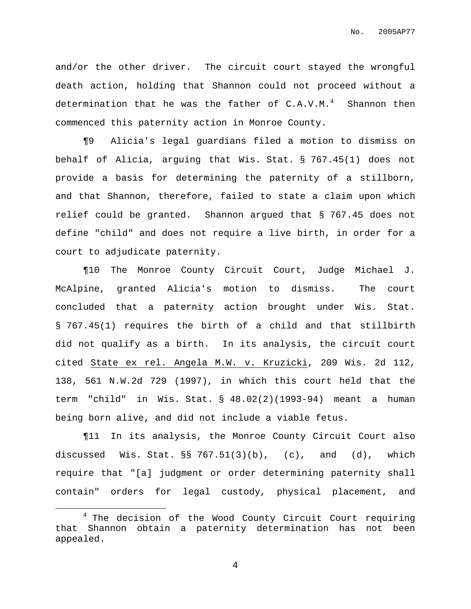and/or the other driver. The circuit court stayed the wrongful death action, holding that Shannon could not proceed without a determination that he was the father of  $C.A.V.M.^4$  Shannon then commenced this paternity action in Monroe County.

¶9 Alicia's legal guardians filed a motion to dismiss on behalf of Alicia, arguing that Wis. Stat. § 767.45(1) does not provide a basis for determining the paternity of a stillborn, and that Shannon, therefore, failed to state a claim upon which relief could be granted. Shannon argued that § 767.45 does not define "child" and does not require a live birth, in order for a court to adjudicate paternity.

¶10 The Monroe County Circuit Court, Judge Michael J. McAlpine, granted Alicia's motion to dismiss. The court concluded that a paternity action brought under Wis. Stat. § 767.45(1) requires the birth of a child and that stillbirth did not qualify as a birth. In its analysis, the circuit court cited State ex rel. Angela M.W. v. Kruzicki, 209 Wis. 2d 112, 138, 561 N.W.2d 729 (1997), in which this court held that the term "child" in Wis. Stat. § 48.02(2)(1993-94) meant a human being born alive, and did not include a viable fetus.

¶11 In its analysis, the Monroe County Circuit Court also discussed Wis. Stat.  $\S 767.51(3)(b)$ , (c), and (d), which require that "[a] judgment or order determining paternity shall contain" orders for legal custody, physical placement, and

 $4$  The decision of the Wood County Circuit Court requiring that Shannon obtain a paternity determination has not been appealed.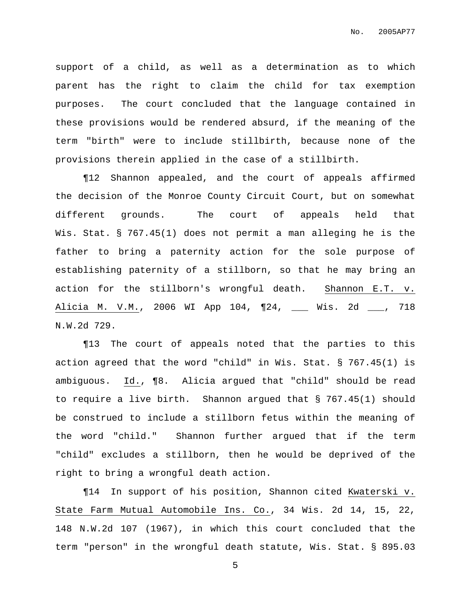support of a child, as well as a determination as to which parent has the right to claim the child for tax exemption purposes. The court concluded that the language contained in these provisions would be rendered absurd, if the meaning of the term "birth" were to include stillbirth, because none of the provisions therein applied in the case of a stillbirth.

¶12 Shannon appealed, and the court of appeals affirmed the decision of the Monroe County Circuit Court, but on somewhat different grounds. The court of appeals held that Wis. Stat. § 767.45(1) does not permit a man alleging he is the father to bring a paternity action for the sole purpose of establishing paternity of a stillborn, so that he may bring an action for the stillborn's wrongful death. Shannon E.T. v. Alicia M. V.M., 2006 WI App 104, ¶24, \_\_\_ Wis. 2d \_\_\_, 718 N.W.2d 729.

¶13 The court of appeals noted that the parties to this action agreed that the word "child" in Wis. Stat. § 767.45(1) is ambiguous. Id., ¶8. Alicia argued that "child" should be read to require a live birth. Shannon argued that § 767.45(1) should be construed to include a stillborn fetus within the meaning of the word "child." Shannon further argued that if the term "child" excludes a stillborn, then he would be deprived of the right to bring a wrongful death action.

¶14 In support of his position, Shannon cited Kwaterski v. State Farm Mutual Automobile Ins. Co., 34 Wis. 2d 14, 15, 22, 148 N.W.2d 107 (1967), in which this court concluded that the term "person" in the wrongful death statute, Wis. Stat. § 895.03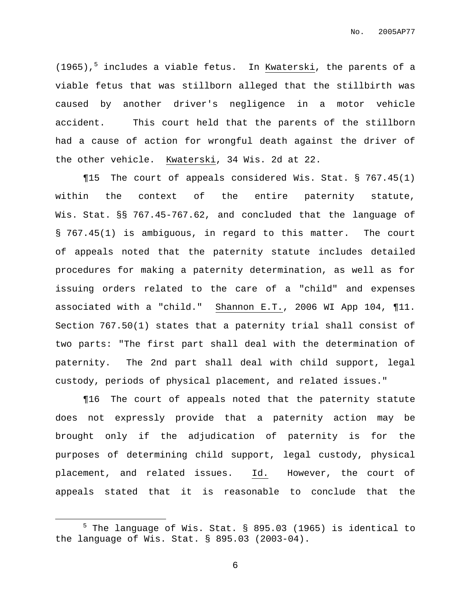(1965), <sup>5</sup> includes a viable fetus. In Kwaterski, the parents of a viable fetus that was stillborn alleged that the stillbirth was caused by another driver's negligence in a motor vehicle accident. This court held that the parents of the stillborn had a cause of action for wrongful death against the driver of the other vehicle. Kwaterski, 34 Wis. 2d at 22.

¶15 The court of appeals considered Wis. Stat. § 767.45(1) within the context of the entire paternity statute, Wis. Stat. §§ 767.45-767.62, and concluded that the language of § 767.45(1) is ambiguous, in regard to this matter. The court of appeals noted that the paternity statute includes detailed procedures for making a paternity determination, as well as for issuing orders related to the care of a "child" and expenses associated with a "child." Shannon E.T., 2006 WI App 104, ¶11. Section 767.50(1) states that a paternity trial shall consist of two parts: "The first part shall deal with the determination of paternity. The 2nd part shall deal with child support, legal custody, periods of physical placement, and related issues."

¶16 The court of appeals noted that the paternity statute does not expressly provide that a paternity action may be brought only if the adjudication of paternity is for the purposes of determining child support, legal custody, physical placement, and related issues. Id. However, the court of appeals stated that it is reasonable to conclude that the

<sup>&</sup>lt;sup>5</sup> The language of Wis. Stat. § 895.03 (1965) is identical to the language of Wis. Stat. § 895.03 (2003-04).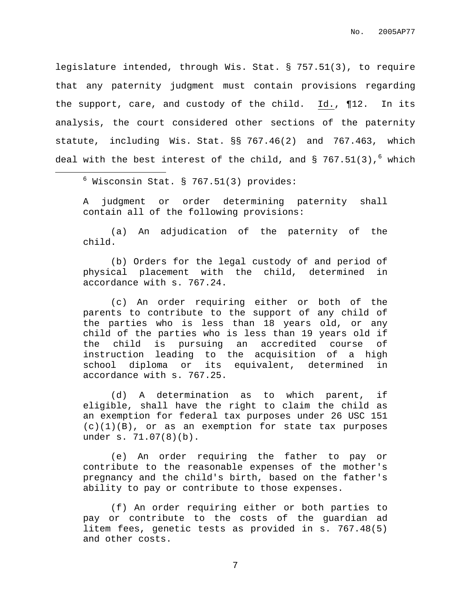legislature intended, through Wis. Stat. § 757.51(3), to require that any paternity judgment must contain provisions regarding the support, care, and custody of the child. Id., ¶12. In its analysis, the court considered other sections of the paternity statute, including Wis. Stat. §§ 767.46(2) and 767.463, which deal with the best interest of the child, and § 767.51(3),<sup>6</sup> which

 $6$  Wisconsin Stat. § 767.51(3) provides:

A judgment or order determining paternity shall contain all of the following provisions:

(a) An adjudication of the paternity of the child.

(b) Orders for the legal custody of and period of physical placement with the child, determined in accordance with s. 767.24.

(c) An order requiring either or both of the parents to contribute to the support of any child of the parties who is less than 18 years old, or any child of the parties who is less than 19 years old if the child is pursuing an accredited course of instruction leading to the acquisition of a high school diploma or its equivalent, determined in accordance with s. 767.25.

(d) A determination as to which parent, if eligible, shall have the right to claim the child as an exemption for federal tax purposes under 26 USC 151  $(c)(1)(B)$ , or as an exemption for state tax purposes under s. 71.07(8)(b).

(e) An order requiring the father to pay or contribute to the reasonable expenses of the mother's pregnancy and the child's birth, based on the father's ability to pay or contribute to those expenses.

(f) An order requiring either or both parties to pay or contribute to the costs of the guardian ad litem fees, genetic tests as provided in s. 767.48(5) and other costs.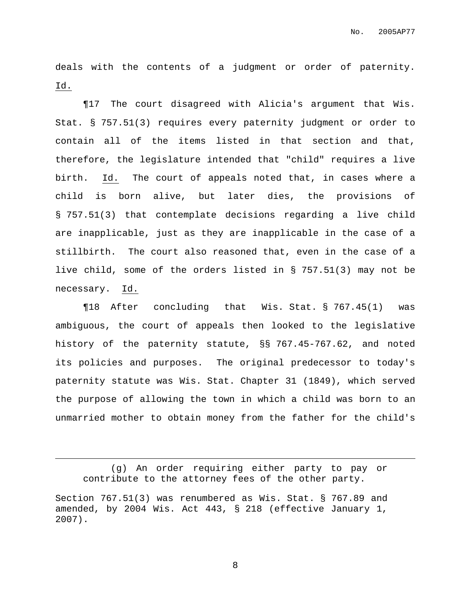deals with the contents of a judgment or order of paternity. Id.

¶17 The court disagreed with Alicia's argument that Wis. Stat. § 757.51(3) requires every paternity judgment or order to contain all of the items listed in that section and that, therefore, the legislature intended that "child" requires a live birth. Id. The court of appeals noted that, in cases where a child is born alive, but later dies, the provisions of § 757.51(3) that contemplate decisions regarding a live child are inapplicable, just as they are inapplicable in the case of a stillbirth. The court also reasoned that, even in the case of a live child, some of the orders listed in § 757.51(3) may not be necessary. Id.

¶18 After concluding that Wis. Stat. § 767.45(1) was ambiguous, the court of appeals then looked to the legislative history of the paternity statute, §§ 767.45-767.62, and noted its policies and purposes. The original predecessor to today's paternity statute was Wis. Stat. Chapter 31 (1849), which served the purpose of allowing the town in which a child was born to an unmarried mother to obtain money from the father for the child's

<sup>(</sup>g) An order requiring either party to pay or contribute to the attorney fees of the other party.

Section 767.51(3) was renumbered as Wis. Stat. § 767.89 and amended, by 2004 Wis. Act 443, § 218 (effective January 1, 2007).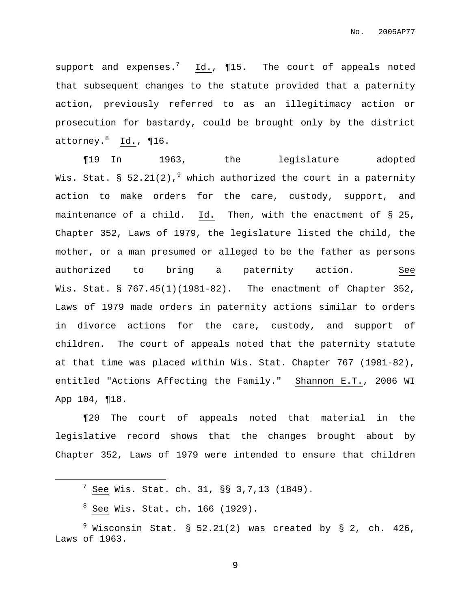support and expenses.<sup>7</sup> Id.,  $\P{15}$ . The court of appeals noted that subsequent changes to the statute provided that a paternity action, previously referred to as an illegitimacy action or prosecution for bastardy, could be brought only by the district attorney. <sup>8</sup> Id., ¶16.

¶19 In 1963, the legislature adopted Wis. Stat. § 52.21(2), $^9$  which authorized the court in a paternity action to make orders for the care, custody, support, and maintenance of a child. Id. Then, with the enactment of § 25, Chapter 352, Laws of 1979, the legislature listed the child, the mother, or a man presumed or alleged to be the father as persons authorized to bring a paternity action. See Wis. Stat. § 767.45(1)(1981-82). The enactment of Chapter 352, Laws of 1979 made orders in paternity actions similar to orders in divorce actions for the care, custody, and support of children. The court of appeals noted that the paternity statute at that time was placed within Wis. Stat. Chapter 767 (1981-82), entitled "Actions Affecting the Family." Shannon E.T., 2006 WI App 104, ¶18.

¶20 The court of appeals noted that material in the legislative record shows that the changes brought about by Chapter 352, Laws of 1979 were intended to ensure that children

 $7$  See Wis. Stat. ch. 31, §§ 3,7,13 (1849).

 $8$  See Wis. Stat. ch. 166 (1929).

 $9$  Wisconsin Stat. § 52.21(2) was created by § 2, ch. 426, Laws of 1963.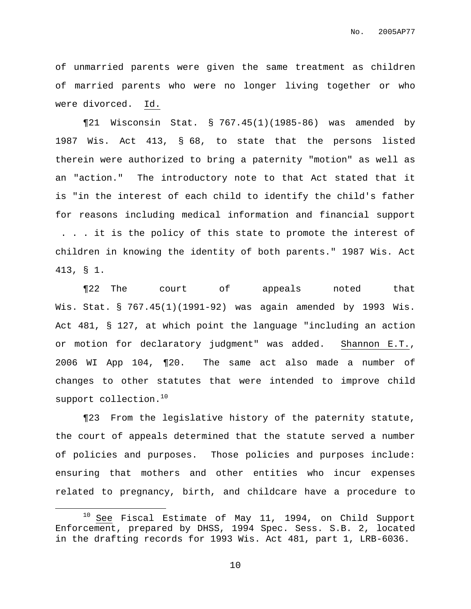of unmarried parents were given the same treatment as children of married parents who were no longer living together or who were divorced. Id.

¶21 Wisconsin Stat. § 767.45(1)(1985-86) was amended by 1987 Wis. Act 413, § 68, to state that the persons listed therein were authorized to bring a paternity "motion" as well as an "action." The introductory note to that Act stated that it is "in the interest of each child to identify the child's father for reasons including medical information and financial support . . . it is the policy of this state to promote the interest of children in knowing the identity of both parents." 1987 Wis. Act 413, § 1.

¶22 The court of appeals noted that Wis. Stat. § 767.45(1)(1991-92) was again amended by 1993 Wis. Act 481, § 127, at which point the language "including an action or motion for declaratory judgment" was added. Shannon E.T., 2006 WI App 104, ¶20. The same act also made a number of changes to other statutes that were intended to improve child support collection. 10

¶23 From the legislative history of the paternity statute, the court of appeals determined that the statute served a number of policies and purposes. Those policies and purposes include: ensuring that mothers and other entities who incur expenses related to pregnancy, birth, and childcare have a procedure to

 $10$  See Fiscal Estimate of May 11, 1994, on Child Support Enforcement, prepared by DHSS, 1994 Spec. Sess. S.B. 2, located in the drafting records for 1993 Wis. Act 481, part 1, LRB-6036.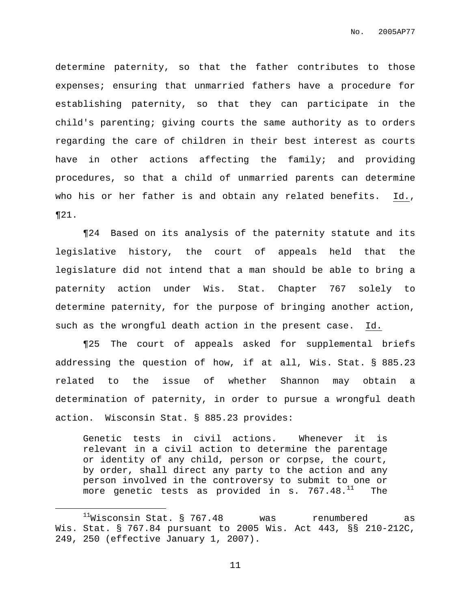determine paternity, so that the father contributes to those expenses; ensuring that unmarried fathers have a procedure for establishing paternity, so that they can participate in the child's parenting; giving courts the same authority as to orders regarding the care of children in their best interest as courts have in other actions affecting the family; and providing procedures, so that a child of unmarried parents can determine who his or her father is and obtain any related benefits. Id., ¶21.

¶24 Based on its analysis of the paternity statute and its legislative history, the court of appeals held that the legislature did not intend that a man should be able to bring a paternity action under Wis. Stat. Chapter 767 solely to determine paternity, for the purpose of bringing another action, such as the wrongful death action in the present case. Id.

¶25 The court of appeals asked for supplemental briefs addressing the question of how, if at all, Wis. Stat. § 885.23 related to the issue of whether Shannon may obtain a determination of paternity, in order to pursue a wrongful death action. Wisconsin Stat. § 885.23 provides:

Genetic tests in civil actions. Whenever it is relevant in a civil action to determine the parentage or identity of any child, person or corpse, the court, by order, shall direct any party to the action and any person involved in the controversy to submit to one or more genetic tests as provided in s. 767.48.<sup>11</sup> The

 $11$ Wisconsin Stat. § 767.48 was renumbered as Wis. Stat. § 767.84 pursuant to 2005 Wis. Act 443, §§ 210-212C, 249, 250 (effective January 1, 2007).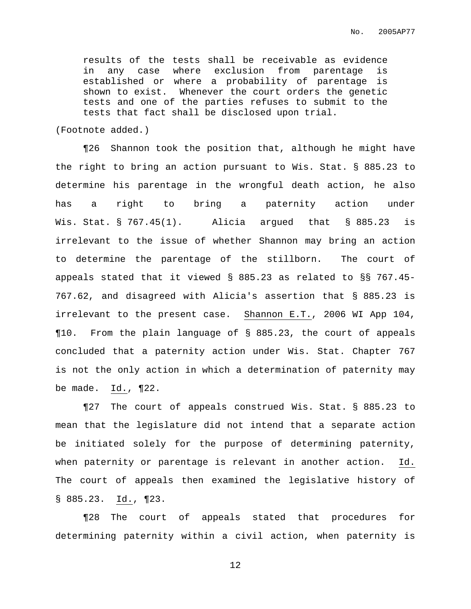results of the tests shall be receivable as evidence in any case where exclusion from parentage is established or where a probability of parentage is shown to exist. Whenever the court orders the genetic tests and one of the parties refuses to submit to the tests that fact shall be disclosed upon trial.

(Footnote added.)

¶26 Shannon took the position that, although he might have the right to bring an action pursuant to Wis. Stat. § 885.23 to determine his parentage in the wrongful death action, he also has a right to bring a paternity action under Wis. Stat. § 767.45(1). Alicia arqued that § 885.23 is irrelevant to the issue of whether Shannon may bring an action to determine the parentage of the stillborn. The court of appeals stated that it viewed § 885.23 as related to §§ 767.45- 767.62, and disagreed with Alicia's assertion that § 885.23 is irrelevant to the present case. Shannon E.T., 2006 WI App 104, ¶10. From the plain language of § 885.23, the court of appeals concluded that a paternity action under Wis. Stat. Chapter 767 is not the only action in which a determination of paternity may be made. Id., ¶22.

¶27 The court of appeals construed Wis. Stat. § 885.23 to mean that the legislature did not intend that a separate action be initiated solely for the purpose of determining paternity, when paternity or parentage is relevant in another action. Id. The court of appeals then examined the legislative history of § 885.23. Id., ¶23.

¶28 The court of appeals stated that procedures for determining paternity within a civil action, when paternity is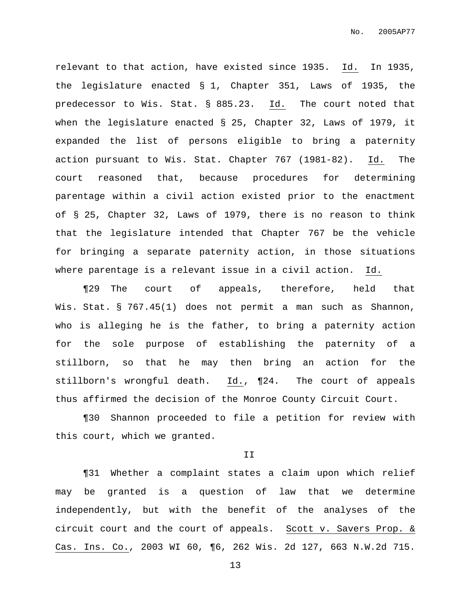relevant to that action, have existed since 1935. Id. In 1935, the legislature enacted § 1, Chapter 351, Laws of 1935, the predecessor to Wis. Stat. § 885.23. Id. The court noted that when the legislature enacted § 25, Chapter 32, Laws of 1979, it expanded the list of persons eligible to bring a paternity action pursuant to Wis. Stat. Chapter 767 (1981-82). Id. The court reasoned that, because procedures for determining parentage within a civil action existed prior to the enactment of § 25, Chapter 32, Laws of 1979, there is no reason to think that the legislature intended that Chapter 767 be the vehicle for bringing a separate paternity action, in those situations where parentage is a relevant issue in a civil action. Id.

¶29 The court of appeals, therefore, held that Wis. Stat. § 767.45(1) does not permit a man such as Shannon, who is alleging he is the father, to bring a paternity action for the sole purpose of establishing the paternity of a stillborn, so that he may then bring an action for the stillborn's wrongful death. Id., ¶24. The court of appeals thus affirmed the decision of the Monroe County Circuit Court.

¶30 Shannon proceeded to file a petition for review with this court, which we granted.

II

¶31 Whether a complaint states a claim upon which relief may be granted is a question of law that we determine independently, but with the benefit of the analyses of the circuit court and the court of appeals. Scott v. Savers Prop. & Cas. Ins. Co., 2003 WI 60, ¶6, 262 Wis. 2d 127, 663 N.W.2d 715.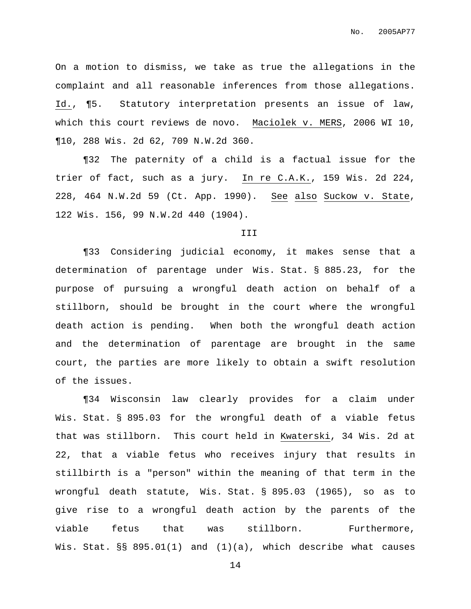On a motion to dismiss, we take as true the allegations in the complaint and all reasonable inferences from those allegations. Id., ¶5. Statutory interpretation presents an issue of law, which this court reviews de novo. Maciolek v. MERS, 2006 WI 10, ¶10, 288 Wis. 2d 62, 709 N.W.2d 360.

¶32 The paternity of a child is a factual issue for the trier of fact, such as a jury. In re C.A.K., 159 Wis. 2d 224, 228, 464 N.W.2d 59 (Ct. App. 1990). See also Suckow v. State, 122 Wis. 156, 99 N.W.2d 440 (1904).

#### III

¶33 Considering judicial economy, it makes sense that a determination of parentage under Wis. Stat. § 885.23, for the purpose of pursuing a wrongful death action on behalf of a stillborn, should be brought in the court where the wrongful death action is pending. When both the wrongful death action and the determination of parentage are brought in the same court, the parties are more likely to obtain a swift resolution of the issues.

¶34 Wisconsin law clearly provides for a claim under Wis. Stat. § 895.03 for the wrongful death of a viable fetus that was stillborn. This court held in Kwaterski, 34 Wis. 2d at 22, that a viable fetus who receives injury that results in stillbirth is a "person" within the meaning of that term in the wrongful death statute, Wis. Stat. § 895.03 (1965), so as to give rise to a wrongful death action by the parents of the viable fetus that was stillborn. Furthermore, Wis. Stat. §§ 895.01(1) and (1)(a), which describe what causes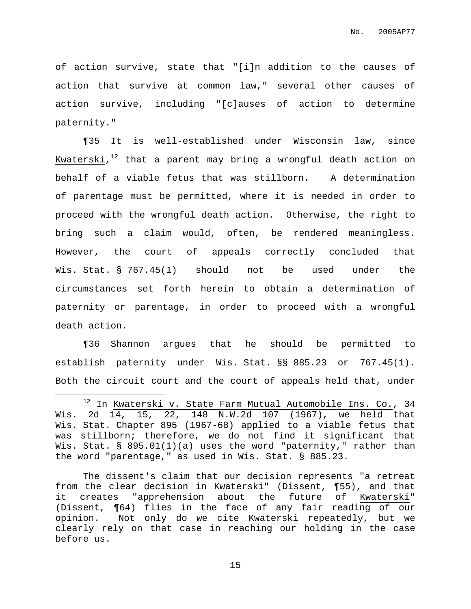of action survive, state that "[i]n addition to the causes of action that survive at common law," several other causes of action survive, including "[c]auses of action to determine paternity."

¶35 It is well-established under Wisconsin law, since Kwaterski, <sup>12</sup> that a parent may bring a wrongful death action on behalf of a viable fetus that was stillborn. A determination of parentage must be permitted, where it is needed in order to proceed with the wrongful death action. Otherwise, the right to bring such a claim would, often, be rendered meaningless. However, the court of appeals correctly concluded that Wis. Stat. § 767.45(1) should not be used under the circumstances set forth herein to obtain a determination of paternity or parentage, in order to proceed with a wrongful death action.

¶36 Shannon argues that he should be permitted to establish paternity under Wis. Stat. §§ 885.23 or 767.45(1). Both the circuit court and the court of appeals held that, under

The dissent's claim that our decision represents "a retreat from the clear decision in Kwaterski" (Dissent, ¶55), and that it creates "apprehension about the future of Kwaterski" (Dissent, ¶64) flies in the face of any fair reading of our opinion. Not only do we cite Kwaterski repeatedly, but we clearly rely on that case in reaching our holding in the case before us.

<sup>&</sup>lt;sup>12</sup> In Kwaterski v. State Farm Mutual Automobile Ins. Co., 34 Wis. 2d 14, 15, 22, 148 N.W.2d 107 (1967), we held that Wis. Stat. Chapter 895 (1967-68) applied to a viable fetus that was stillborn; therefore, we do not find it significant that Wis. Stat. § 895.01(1)(a) uses the word "paternity," rather than the word "parentage," as used in Wis. Stat. § 885.23.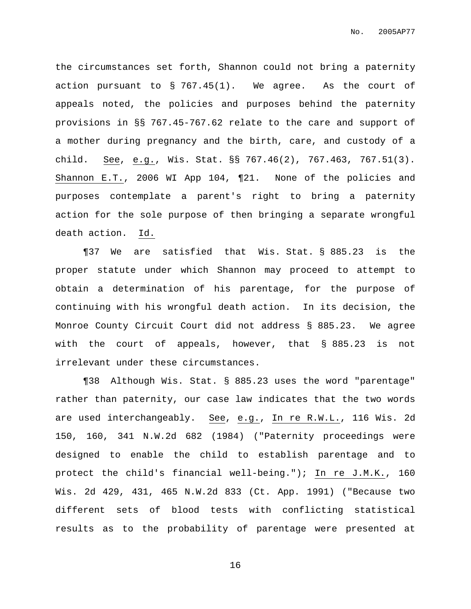the circumstances set forth, Shannon could not bring a paternity action pursuant to § 767.45(1). We agree. As the court of appeals noted, the policies and purposes behind the paternity provisions in §§ 767.45-767.62 relate to the care and support of a mother during pregnancy and the birth, care, and custody of a child. See, e.g., Wis. Stat. §§ 767.46(2), 767.463, 767.51(3). Shannon E.T., 2006 WI App 104, ¶21. None of the policies and purposes contemplate a parent's right to bring a paternity action for the sole purpose of then bringing a separate wrongful death action. Id.

¶37 We are satisfied that Wis. Stat. § 885.23 is the proper statute under which Shannon may proceed to attempt to obtain a determination of his parentage, for the purpose of continuing with his wrongful death action. In its decision, the Monroe County Circuit Court did not address § 885.23. We agree with the court of appeals, however, that § 885.23 is not irrelevant under these circumstances.

¶38 Although Wis. Stat. § 885.23 uses the word "parentage" rather than paternity, our case law indicates that the two words are used interchangeably. See, e.g., In re R.W.L., 116 Wis. 2d 150, 160, 341 N.W.2d 682 (1984) ("Paternity proceedings were designed to enable the child to establish parentage and to protect the child's financial well-being."); In re J.M.K., 160 Wis. 2d 429, 431, 465 N.W.2d 833 (Ct. App. 1991) ("Because two different sets of blood tests with conflicting statistical results as to the probability of parentage were presented at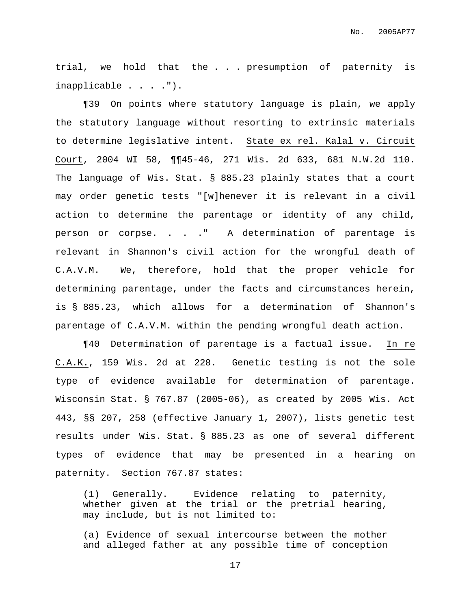trial, we hold that the . . . presumption of paternity is inapplicable . . . .").

¶39 On points where statutory language is plain, we apply the statutory language without resorting to extrinsic materials to determine legislative intent. State ex rel. Kalal v. Circuit Court, 2004 WI 58, ¶¶45-46, 271 Wis. 2d 633, 681 N.W.2d 110. The language of Wis. Stat. § 885.23 plainly states that a court may order genetic tests "[w]henever it is relevant in a civil action to determine the parentage or identity of any child, person or corpse. . . . " A determination of parentage is relevant in Shannon's civil action for the wrongful death of C.A.V.M. We, therefore, hold that the proper vehicle for determining parentage, under the facts and circumstances herein, is § 885.23, which allows for a determination of Shannon's parentage of C.A.V.M. within the pending wrongful death action.

¶40 Determination of parentage is a factual issue. In re C.A.K., 159 Wis. 2d at 228. Genetic testing is not the sole type of evidence available for determination of parentage. Wisconsin Stat. § 767.87 (2005-06), as created by 2005 Wis. Act 443, §§ 207, 258 (effective January 1, 2007), lists genetic test results under Wis. Stat. § 885.23 as one of several different types of evidence that may be presented in a hearing on paternity. Section 767.87 states:

(1) Generally. Evidence relating to paternity, whether given at the trial or the pretrial hearing, may include, but is not limited to:

(a) Evidence of sexual intercourse between the mother and alleged father at any possible time of conception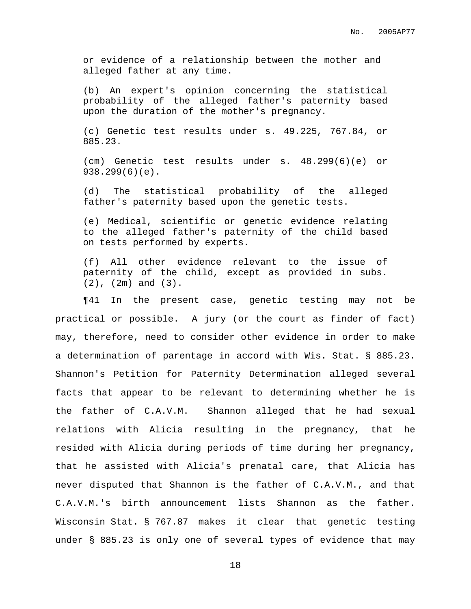or evidence of a relationship between the mother and alleged father at any time.

(b) An expert's opinion concerning the statistical probability of the alleged father's paternity based upon the duration of the mother's pregnancy.

(c) Genetic test results under s. [49.225](https://web2.westlaw.com/find/default.wl?rp=%2ffind%2fdefault.wl&vc=0&DB=1000260&DocName=WIST49%2E225&FindType=L&AP=&fn=_top&rs=WLW6.11&mt=Wisconsin&vr=2.0&sv=Full), [767.84,](https://web2.westlaw.com/find/default.wl?rp=%2ffind%2fdefault.wl&vc=0&DB=1000260&DocName=WIST767%2E84&FindType=L&AP=&fn=_top&rs=WLW6.11&mt=Wisconsin&vr=2.0&sv=Full) or [885.23.](https://web2.westlaw.com/find/default.wl?rp=%2ffind%2fdefault.wl&vc=0&DB=1000260&DocName=WIST885%2E23&FindType=L&AP=&fn=_top&rs=WLW6.11&mt=Wisconsin&vr=2.0&sv=Full)

(cm) Genetic test results under s. [48.299\(6\)\(e\)](https://web2.westlaw.com/find/default.wl?rp=%2ffind%2fdefault.wl&vc=0&DB=1000260&DocName=WIST48%2E299&FindType=L&ReferencePositionType=T&ReferencePosition=SP%3B0cf800006f924&AP=&fn=_top&rs=WLW6.11&mt=Wisconsin&vr=2.0&sv=Full) or [938.299\(6\)\(e\).](https://web2.westlaw.com/find/default.wl?rp=%2ffind%2fdefault.wl&vc=0&DB=1000260&DocName=WIST938%2E299&FindType=L&ReferencePositionType=T&ReferencePosition=SP%3B0cf800006f924&AP=&fn=_top&rs=WLW6.11&mt=Wisconsin&vr=2.0&sv=Full)

(d) The statistical probability of the alleged father's paternity based upon the genetic tests.

(e) Medical, scientific or genetic evidence relating to the alleged father's paternity of the child based on tests performed by experts.

(f) All other evidence relevant to the issue of paternity of the child, except as provided in subs. (2), (2m) and (3).

¶41 In the present case, genetic testing may not be practical or possible. A jury (or the court as finder of fact) may, therefore, need to consider other evidence in order to make a determination of parentage in accord with Wis. Stat. § 885.23. Shannon's Petition for Paternity Determination alleged several facts that appear to be relevant to determining whether he is the father of C.A.V.M. Shannon alleged that he had sexual relations with Alicia resulting in the pregnancy, that he resided with Alicia during periods of time during her pregnancy, that he assisted with Alicia's prenatal care, that Alicia has never disputed that Shannon is the father of C.A.V.M., and that C.A.V.M.'s birth announcement lists Shannon as the father. Wisconsin Stat. § 767.87 makes it clear that genetic testing under § 885.23 is only one of several types of evidence that may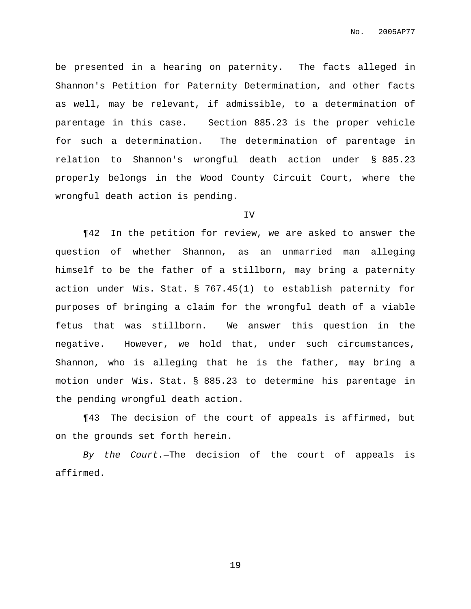be presented in a hearing on paternity. The facts alleged in Shannon's Petition for Paternity Determination, and other facts as well, may be relevant, if admissible, to a determination of parentage in this case. Section 885.23 is the proper vehicle for such a determination. The determination of parentage in relation to Shannon's wrongful death action under § 885.23 properly belongs in the Wood County Circuit Court, where the wrongful death action is pending.

#### IV

¶42 In the petition for review, we are asked to answer the question of whether Shannon, as an unmarried man alleging himself to be the father of a stillborn, may bring a paternity action under Wis. Stat. § 767.45(1) to establish paternity for purposes of bringing a claim for the wrongful death of a viable fetus that was stillborn. We answer this question in the negative. However, we hold that, under such circumstances, Shannon, who is alleging that he is the father, may bring a motion under Wis. Stat. § 885.23 to determine his parentage in the pending wrongful death action.

¶43 The decision of the court of appeals is affirmed, but on the grounds set forth herein.

By the Court.—The decision of the court of appeals is affirmed.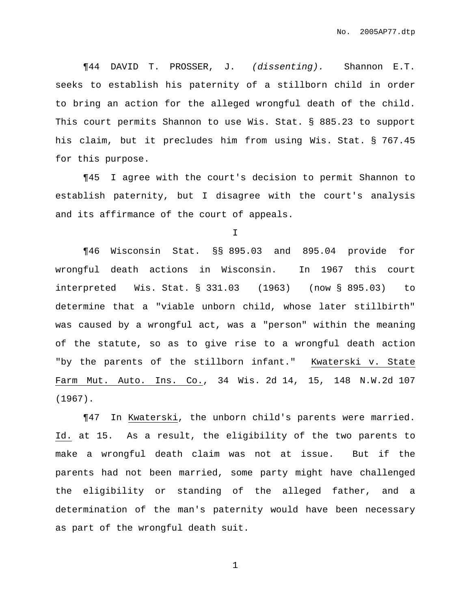¶44 DAVID T. PROSSER, J. (dissenting). Shannon E.T. seeks to establish his paternity of a stillborn child in order to bring an action for the alleged wrongful death of the child. This court permits Shannon to use Wis. Stat. § 885.23 to support his claim, but it precludes him from using Wis. Stat. § 767.45 for this purpose.

¶45 I agree with the court's decision to permit Shannon to establish paternity, but I disagree with the court's analysis and its affirmance of the court of appeals.

I

¶46 Wisconsin Stat. §§ 895.03 and 895.04 provide for wrongful death actions in Wisconsin. In 1967 this court interpreted Wis. Stat. § 331.03 (1963) (now § 895.03) to determine that a "viable unborn child, whose later stillbirth" was caused by a wrongful act, was a "person" within the meaning of the statute, so as to give rise to a wrongful death action "by the parents of the stillborn infant." Kwaterski v. State Farm Mut. Auto. Ins. Co., 34 Wis. 2d 14, 15, 148 N.W.2d 107 (1967).

¶47 In Kwaterski, the unborn child's parents were married. Id. at 15. As a result, the eligibility of the two parents to make a wrongful death claim was not at issue. But if the parents had not been married, some party might have challenged the eligibility or standing of the alleged father, and a determination of the man's paternity would have been necessary as part of the wrongful death suit.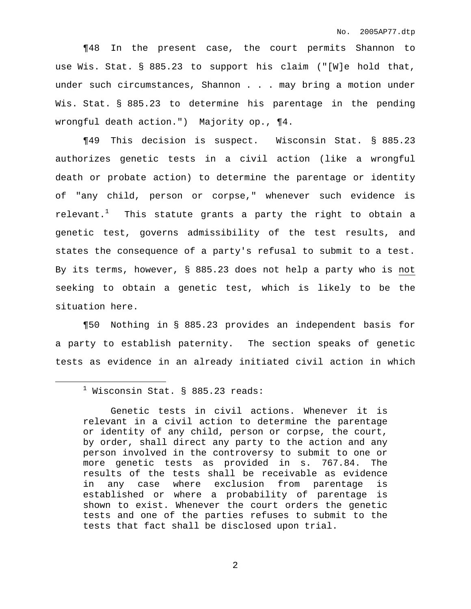¶48 In the present case, the court permits Shannon to use Wis. Stat. § 885.23 to support his claim ("[W]e hold that, under such circumstances, Shannon . . . may bring a motion under Wis. Stat. § 885.23 to determine his parentage in the pending wrongful death action.") Majority op., ¶4.

¶49 This decision is suspect. Wisconsin Stat. § 885.23 authorizes genetic tests in a civil action (like a wrongful death or probate action) to determine the parentage or identity of "any child, person or corpse," whenever such evidence is relevant. $^1$  - This statute grants a party the right to obtain a genetic test, governs admissibility of the test results, and states the consequence of a party's refusal to submit to a test. By its terms, however, § 885.23 does not help a party who is not seeking to obtain a genetic test, which is likely to be the situation here.

¶50 Nothing in § 885.23 provides an independent basis for a party to establish paternity. The section speaks of genetic tests as evidence in an already initiated civil action in which

 $<sup>1</sup>$  Wisconsin Stat. § 885.23 reads:</sup>

Genetic tests in civil actions. Whenever it is relevant in a civil action to determine the parentage or identity of any child, person or corpse, the court, by order, shall direct any party to the action and any person involved in the controversy to submit to one or more genetic tests as provided in s. 767.84. The results of the tests shall be receivable as evidence in any case where exclusion from parentage is established or where a probability of parentage is shown to exist. Whenever the court orders the genetic tests and one of the parties refuses to submit to the tests that fact shall be disclosed upon trial.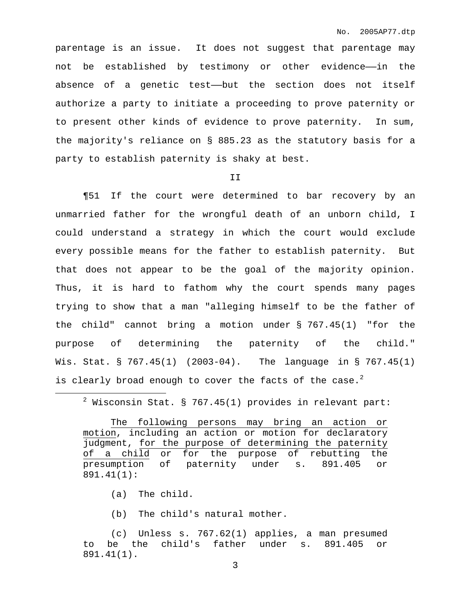parentage is an issue. It does not suggest that parentage may not be established by testimony or other evidence——in the absence of a genetic test——but the section does not itself authorize a party to initiate a proceeding to prove paternity or to present other kinds of evidence to prove paternity. In sum, the majority's reliance on § 885.23 as the statutory basis for a party to establish paternity is shaky at best.

II

¶51 If the court were determined to bar recovery by an unmarried father for the wrongful death of an unborn child, I could understand a strategy in which the court would exclude every possible means for the father to establish paternity. But that does not appear to be the goal of the majority opinion. Thus, it is hard to fathom why the court spends many pages trying to show that a man "alleging himself to be the father of the child" cannot bring a motion under § 767.45(1) "for the purpose of determining the paternity of the child." Wis. Stat. § 767.45(1) (2003-04). The language in § 767.45(1) is clearly broad enough to cover the facts of the case. $^2$ 

 $2$  Wisconsin Stat. § 767.45(1) provides in relevant part:

The following persons may bring an action or motion, including an action or motion for declaratory judgment, for the purpose of determining the paternity of a child or for the purpose of rebutting the presumption of paternity under s. 891.405 or 891.41(1):

(a) The child.

(b) The child's natural mother.

(c) Unless s. 767.62(1) applies, a man presumed to be the child's father under s. 891.405 or 891.41(1).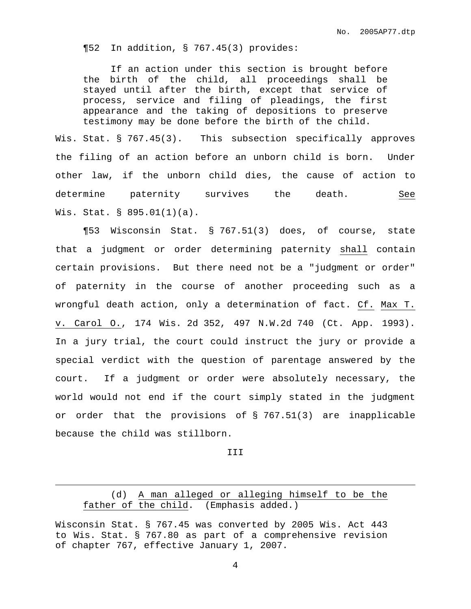¶52 In addition, § 767.45(3) provides:

If an action under this section is brought before the birth of the child, all proceedings shall be stayed until after the birth, except that service of process, service and filing of pleadings, the first appearance and the taking of depositions to preserve testimony may be done before the birth of the child.

Wis. Stat. § 767.45(3). This subsection specifically approves the filing of an action before an unborn child is born. Under other law, if the unborn child dies, the cause of action to determine paternity survives the death. See Wis. Stat. § 895.01(1)(a).

¶53 Wisconsin Stat. § 767.51(3) does, of course, state that a judgment or order determining paternity shall contain certain provisions. But there need not be a "judgment or order" of paternity in the course of another proceeding such as a wrongful death action, only a determination of fact. Cf. Max T. v. Carol O., 174 Wis. 2d 352, 497 N.W.2d 740 (Ct. App. 1993). In a jury trial, the court could instruct the jury or provide a special verdict with the question of parentage answered by the court. If a judgment or order were absolutely necessary, the world would not end if the court simply stated in the judgment or order that the provisions of § 767.51(3) are inapplicable because the child was stillborn.

III

## (d) A man alleged or alleging himself to be the father of the child. (Emphasis added.)

Wisconsin Stat. § 767.45 was converted by 2005 Wis. Act 443 to Wis. Stat. § 767.80 as part of a comprehensive revision of chapter 767, effective January 1, 2007.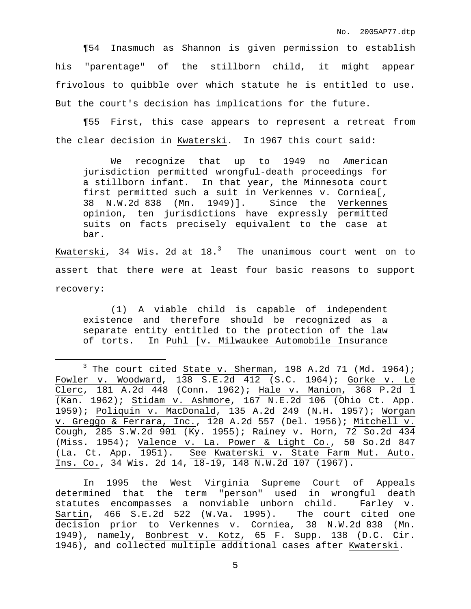¶54 Inasmuch as Shannon is given permission to establish his "parentage" of the stillborn child, it might appear frivolous to quibble over which statute he is entitled to use. But the court's decision has implications for the future.

¶55 First, this case appears to represent a retreat from the clear decision in Kwaterski. In 1967 this court said:

We recognize that up to 1949 no American jurisdiction permitted wrongful-death proceedings for a stillborn infant. In that year, the Minnesota court first permitted such a suit in Verkennes v. Corniea[, 38 N.W.2d 838 (Mn. 1949)]. Since the Verkennes opinion, ten jurisdictions have expressly permitted suits on facts precisely equivalent to the case at bar.

Kwaterski, 34 Wis. 2d at 18. $^3$   $\,$  The unanimous court went on to assert that there were at least four basic reasons to support recovery:

(1) A viable child is capable of independent existence and therefore should be recognized as a separate entity entitled to the protection of the law of torts. In Puhl [v. Milwaukee Automobile Insurance

In 1995 the West Virginia Supreme Court of Appeals determined that the term "person" used in wrongful death statutes encompasses a nonviable unborn child. Farley v. Sartin, 466 S.E.2d 522 (W.Va. 1995). The court cited one decision prior to Verkennes v. Corniea, 38 N.W.2d 838 (Mn. 1949), namely, Bonbrest v. Kotz, 65 F. Supp. 138 (D.C. Cir. 1946), and collected multiple additional cases after Kwaterski.

 $3$  The court cited State v. Sherman, 198 A.2d 71 (Md. 1964); Fowler v. Woodward, 138 S.E.2d 412 (S.C. 1964); Gorke v. Le Clerc, 181 A.2d 448 (Conn. 1962); Hale v. Manion, 368 P.2d 1 (Kan. 1962); Stidam v. Ashmore, 167 N.E.2d 106 (Ohio Ct. App. 1959); Poliquin v. MacDonald, 135 A.2d 249 (N.H. 1957); Worgan v. Greggo & Ferrara, Inc., 128 A.2d 557 (Del. 1956); Mitchell v. Cough, 285 S.W.2d 901 (Ky. 1955); Rainey v. Horn, 72 So.2d 434 (Miss. 1954); Valence v. La. Power & Light Co., 50 So.2d 847 (La. Ct. App. 1951). See Kwaterski v. State Farm Mut. Auto. Ins. Co., 34 Wis. 2d 14, 18-19, 148 N.W.2d 107 (1967).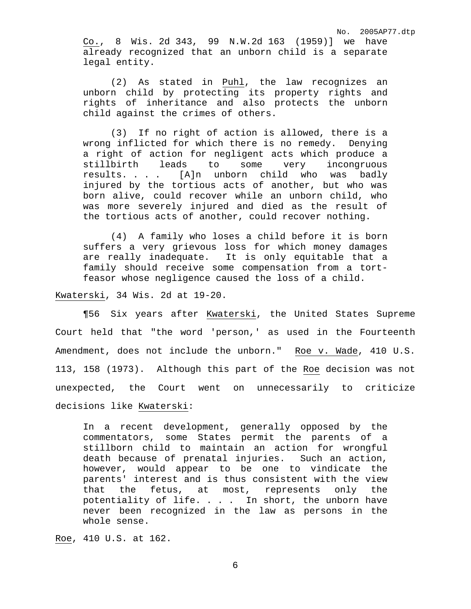No. 2005AP77.dtp Co., 8 Wis. 2d 343, 99 N.W.2d 163 (1959)] we have already recognized that an unborn child is a separate legal entity.

(2) As stated in Puhl, the law recognizes an unborn child by protecting its property rights and rights of inheritance and also protects the unborn child against the crimes of others.

(3) If no right of action is allowed, there is a wrong inflicted for which there is no remedy. Denying a right of action for negligent acts which produce a stillbirth leads to some very incongruous<br>results.... [A]n unborn child who was badly [A]n unborn child who was badly injured by the tortious acts of another, but who was born alive, could recover while an unborn child, who was more severely injured and died as the result of the tortious acts of another, could recover nothing.

(4) A family who loses a child before it is born suffers a very grievous loss for which money damages are really inadequate. It is only equitable that a family should receive some compensation from a tortfeasor whose negligence caused the loss of a child.

Kwaterski, 34 Wis. 2d at 19-20.

¶56 Six years after Kwaterski, the United States Supreme Court held that "the word 'person,' as used in the Fourteenth Amendment, does not include the unborn." Roe v. Wade, 410 U.S. 113, 158 (1973). Although this part of the Roe decision was not unexpected, the Court went on unnecessarily to criticize decisions like Kwaterski:

In a recent development, generally opposed by the commentators, some States permit the parents of a stillborn child to maintain an action for wrongful death because of prenatal injuries. Such an action, however, would appear to be one to vindicate the parents' interest and is thus consistent with the view that the fetus, at most, represents only the potentiality of life. . . . In short, the unborn have never been recognized in the law as persons in the whole sense.

Roe, 410 U.S. at 162.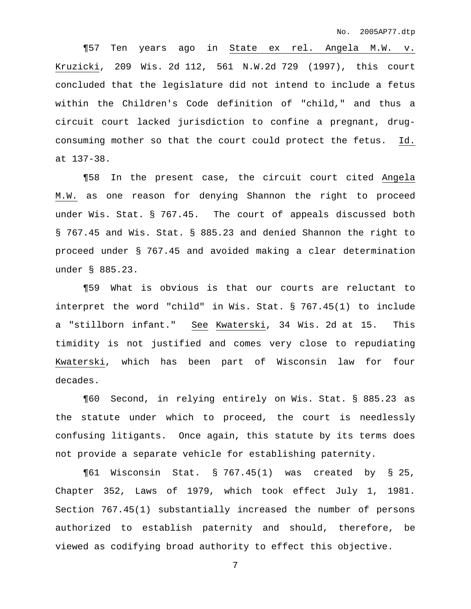¶57 Ten years ago in State ex rel. Angela M.W. v. Kruzicki, 209 Wis. 2d 112, 561 N.W.2d 729 (1997), this court concluded that the legislature did not intend to include a fetus within the Children's Code definition of "child," and thus a circuit court lacked jurisdiction to confine a pregnant, drugconsuming mother so that the court could protect the fetus. Id. at 137-38.

¶58 In the present case, the circuit court cited Angela M.W. as one reason for denying Shannon the right to proceed under Wis. Stat. § 767.45. The court of appeals discussed both § 767.45 and Wis. Stat. § 885.23 and denied Shannon the right to proceed under § 767.45 and avoided making a clear determination under § 885.23.

¶59 What is obvious is that our courts are reluctant to interpret the word "child" in Wis. Stat. § 767.45(1) to include a "stillborn infant." See Kwaterski, 34 Wis. 2d at 15. This timidity is not justified and comes very close to repudiating Kwaterski, which has been part of Wisconsin law for four decades.

¶60 Second, in relying entirely on Wis. Stat. § 885.23 as the statute under which to proceed, the court is needlessly confusing litigants. Once again, this statute by its terms does not provide a separate vehicle for establishing paternity.

¶61 Wisconsin Stat. § 767.45(1) was created by § 25, Chapter 352, Laws of 1979, which took effect July 1, 1981. Section 767.45(1) substantially increased the number of persons authorized to establish paternity and should, therefore, be viewed as codifying broad authority to effect this objective.